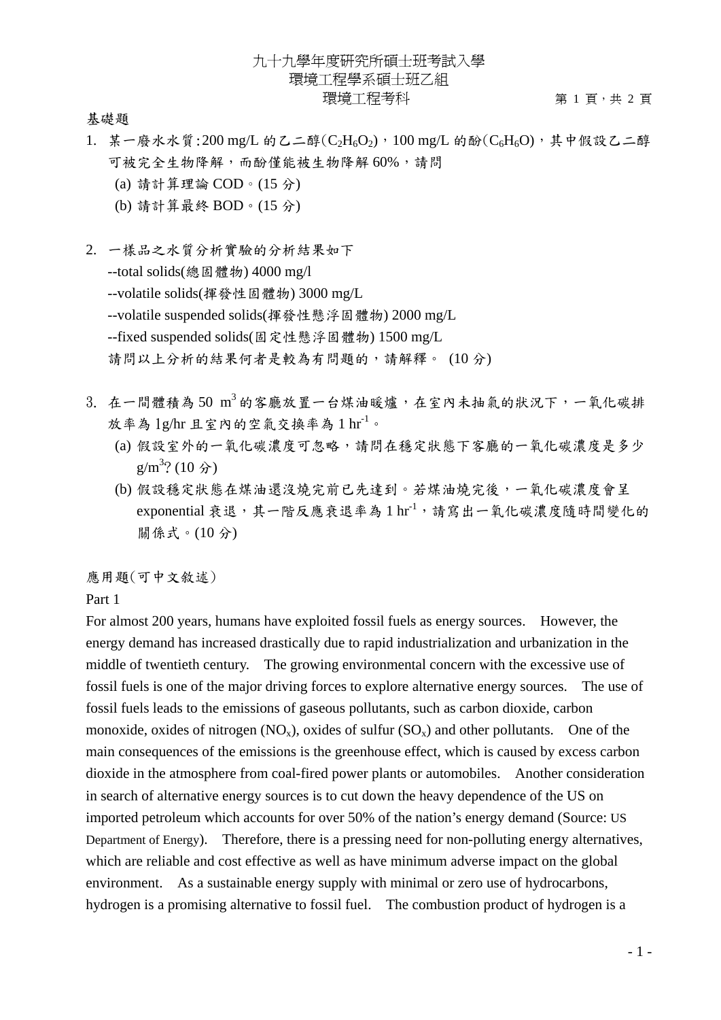基礎題

- 1. 某一廢水水質:200 mg/L 的乙二醇( $C_2H_6O_2$ ), 100 mg/L 的酚( $C_6H_6O$ ), 其中假設乙二醇 可被完全生物降解,而酚僅能被生物降解 60%,請問
	- (a) 請計算理論 COD。(15 分)
	- (b) 請計算最終 BOD。(15 分)

2. 一樣品之水質分析實驗的分析結果如下 --total solids(總固體物) 4000 mg/l --volatile solids(揮發性固體物) 3000 mg/L --volatile suspended solids(揮發性懸浮固體物) 2000 mg/L --fixed suspended solids(固定性懸浮固體物) 1500 mg/L 請問以上分析的結果何者是較為有問題的,請解釋。 (10 分)

- 3. 在一間體積為 50 m3 的客廳放置一台煤油暖爐,在室內未抽氣的狀況下,一氧化碳排 放率為  $\lg$ /hr 且室內的空氣交換率為  $1 \text{ hr}^{-1}$ 。
	- (a) 假設室外的一氧化碳濃度可忽略,請問在穩定狀態下客廳的一氧化碳濃度是多少  $g/m^3$ ? (10 分)
	- (b) 假設穩定狀態在煤油還沒燒完前已先達到。若煤油燒完後,一氧化碳濃度會呈 exponential 衰退,其一階反應衰退率為 1 hr-1, 請寫出一氧化碳濃度隨時間變化的 關係式。(10 分)

應用題(可中文敘述)

Part 1

For almost 200 years, humans have exploited fossil fuels as energy sources. However, the energy demand has increased drastically due to rapid industrialization and urbanization in the middle of twentieth century. The growing environmental concern with the excessive use of fossil fuels is one of the major driving forces to explore alternative energy sources. The use of fossil fuels leads to the emissions of gaseous pollutants, such as carbon dioxide, carbon monoxide, oxides of nitrogen  $(NO_x)$ , oxides of sulfur  $(SO_x)$  and other pollutants. One of the main consequences of the emissions is the greenhouse effect, which is caused by excess carbon dioxide in the atmosphere from coal-fired power plants or automobiles. Another consideration in search of alternative energy sources is to cut down the heavy dependence of the US on imported petroleum which accounts for over 50% of the nation's energy demand (Source: US Department of Energy). Therefore, there is a pressing need for non-polluting energy alternatives, which are reliable and cost effective as well as have minimum adverse impact on the global environment. As a sustainable energy supply with minimal or zero use of hydrocarbons, hydrogen is a promising alternative to fossil fuel. The combustion product of hydrogen is a